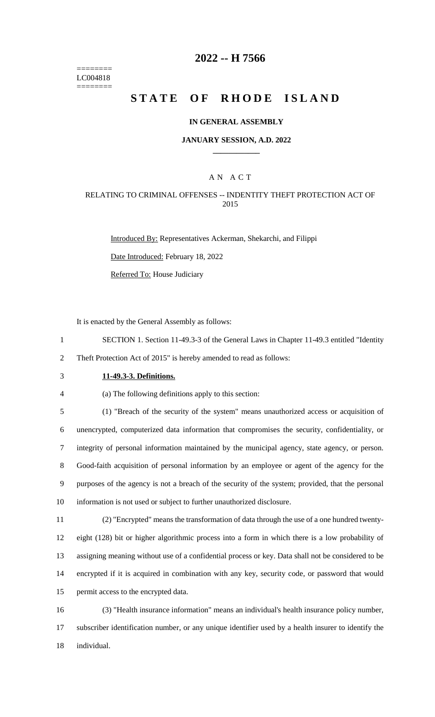======== LC004818 ========

## **-- H 7566**

# **STATE OF RHODE ISLAND**

### **IN GENERAL ASSEMBLY**

### **JANUARY SESSION, A.D. 2022 \_\_\_\_\_\_\_\_\_\_\_\_**

### A N A C T

### RELATING TO CRIMINAL OFFENSES -- INDENTITY THEFT PROTECTION ACT OF

Introduced By: Representatives Ackerman, Shekarchi, and Filippi

Date Introduced: February 18, 2022

Referred To: House Judiciary

It is enacted by the General Assembly as follows:

- SECTION 1. Section 11-49.3-3 of the General Laws in Chapter 11-49.3 entitled "Identity Theft Protection Act of 2015" is hereby amended to read as follows:
- 

## **11-49.3-3. Definitions.**

(a) The following definitions apply to this section:

 (1) "Breach of the security of the system" means unauthorized access or acquisition of unencrypted, computerized data information that compromises the security, confidentiality, or integrity of personal information maintained by the municipal agency, state agency, or person. Good-faith acquisition of personal information by an employee or agent of the agency for the purposes of the agency is not a breach of the security of the system; provided, that the personal information is not used or subject to further unauthorized disclosure.

 (2) "Encrypted" means the transformation of data through the use of a one hundred twenty- eight (128) bit or higher algorithmic process into a form in which there is a low probability of assigning meaning without use of a confidential process or key. Data shall not be considered to be encrypted if it is acquired in combination with any key, security code, or password that would permit access to the encrypted data.

 (3) "Health insurance information" means an individual's health insurance policy number, subscriber identification number, or any unique identifier used by a health insurer to identify the individual.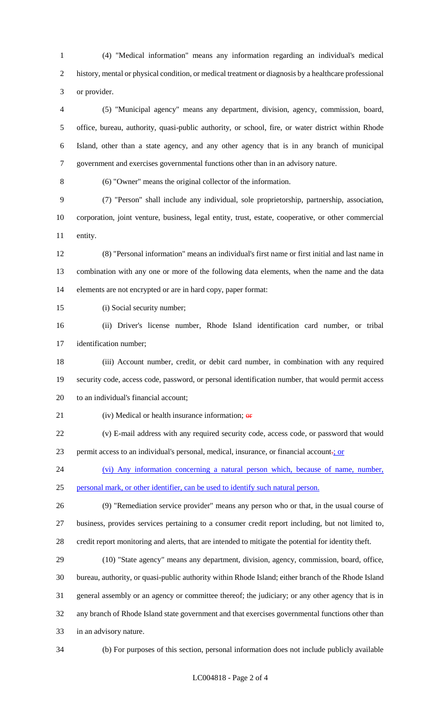(4) "Medical information" means any information regarding an individual's medical history, mental or physical condition, or medical treatment or diagnosis by a healthcare professional or provider.

 (5) "Municipal agency" means any department, division, agency, commission, board, office, bureau, authority, quasi-public authority, or school, fire, or water district within Rhode Island, other than a state agency, and any other agency that is in any branch of municipal government and exercises governmental functions other than in an advisory nature.

(6) "Owner" means the original collector of the information.

 (7) "Person" shall include any individual, sole proprietorship, partnership, association, corporation, joint venture, business, legal entity, trust, estate, cooperative, or other commercial entity.

 (8) "Personal information" means an individual's first name or first initial and last name in combination with any one or more of the following data elements, when the name and the data elements are not encrypted or are in hard copy, paper format:

- 15 (i) Social security number;
- (ii) Driver's license number, Rhode Island identification card number, or tribal identification number;
- (iii) Account number, credit, or debit card number, in combination with any required security code, access code, password, or personal identification number, that would permit access to an individual's financial account;
- 21 (iv) Medical or health insurance information;  $\theta$
- (v) E-mail address with any required security code, access code, or password that would 23 permit access to an individual's personal, medical, insurance, or financial account.; or
- (vi) Any information concerning a natural person which, because of name, number, personal mark, or other identifier, can be used to identify such natural person.
- (9) "Remediation service provider" means any person who or that, in the usual course of business, provides services pertaining to a consumer credit report including, but not limited to, credit report monitoring and alerts, that are intended to mitigate the potential for identity theft.

 (10) "State agency" means any department, division, agency, commission, board, office, bureau, authority, or quasi-public authority within Rhode Island; either branch of the Rhode Island general assembly or an agency or committee thereof; the judiciary; or any other agency that is in any branch of Rhode Island state government and that exercises governmental functions other than in an advisory nature.

(b) For purposes of this section, personal information does not include publicly available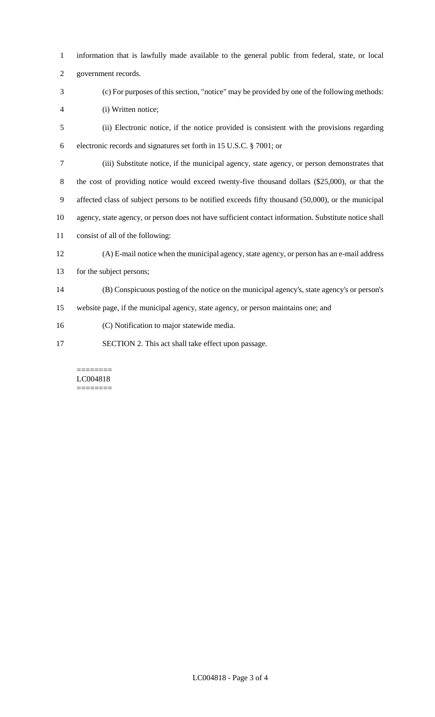- information that is lawfully made available to the general public from federal, state, or local
- government records.
- (c) For purposes of this section, "notice" may be provided by one of the following methods: (i) Written notice;
- (ii) Electronic notice, if the notice provided is consistent with the provisions regarding electronic records and signatures set forth in 15 U.S.C. § 7001; or
- (iii) Substitute notice, if the municipal agency, state agency, or person demonstrates that
- 8 the cost of providing notice would exceed twenty-five thousand dollars (\$25,000), or that the
- affected class of subject persons to be notified exceeds fifty thousand (50,000), or the municipal
- agency, state agency, or person does not have sufficient contact information. Substitute notice shall
- consist of all of the following:
- (A) E-mail notice when the municipal agency, state agency, or person has an e-mail address
- for the subject persons;
- (B) Conspicuous posting of the notice on the municipal agency's, state agency's or person's
- website page, if the municipal agency, state agency, or person maintains one; and
- (C) Notification to major statewide media.
- SECTION 2. This act shall take effect upon passage.

#### ======== LC004818 ========